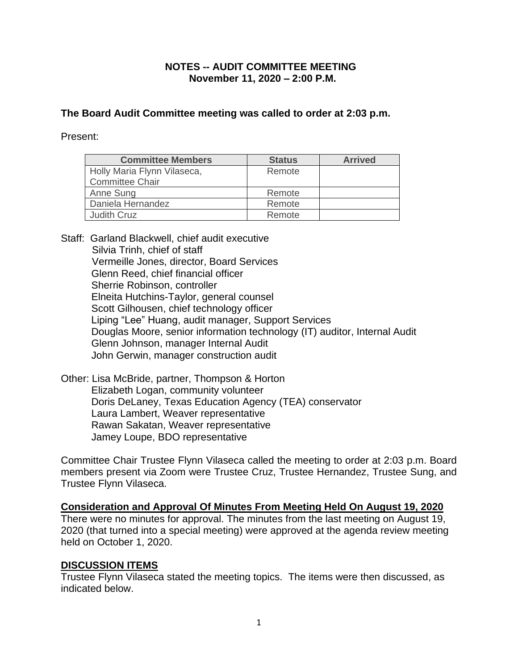## **NOTES -- AUDIT COMMITTEE MEETING November 11, 2020 – 2:00 P.M.**

## **The Board Audit Committee meeting was called to order at 2:03 p.m.**

Present:

| <b>Committee Members</b>    | <b>Status</b> | <b>Arrived</b> |
|-----------------------------|---------------|----------------|
| Holly Maria Flynn Vilaseca, | Remote        |                |
| <b>Committee Chair</b>      |               |                |
| Anne Sung                   | Remote        |                |
| Daniela Hernandez           | Remote        |                |
| <b>Judith Cruz</b>          | Remote        |                |

- Staff: Garland Blackwell, chief audit executive Silvia Trinh, chief of staff Vermeille Jones, director, Board Services Glenn Reed, chief financial officer Sherrie Robinson, controller Elneita Hutchins-Taylor, general counsel Scott Gilhousen, chief technology officer Liping "Lee" Huang, audit manager, Support Services Douglas Moore, senior information technology (IT) auditor, Internal Audit Glenn Johnson, manager Internal Audit John Gerwin, manager construction audit
- Other: Lisa McBride, partner, Thompson & Horton Elizabeth Logan, community volunteer Doris DeLaney, Texas Education Agency (TEA) conservator Laura Lambert, Weaver representative Rawan Sakatan, Weaver representative Jamey Loupe, BDO representative

Committee Chair Trustee Flynn Vilaseca called the meeting to order at 2:03 p.m. Board members present via Zoom were Trustee Cruz, Trustee Hernandez, Trustee Sung, and Trustee Flynn Vilaseca.

**Consideration and Approval Of Minutes From Meeting Held On August 19, 2020** There were no minutes for approval. The minutes from the last meeting on August 19, 2020 (that turned into a special meeting) were approved at the agenda review meeting held on October 1, 2020.

## **DISCUSSION ITEMS**

Trustee Flynn Vilaseca stated the meeting topics. The items were then discussed, as indicated below.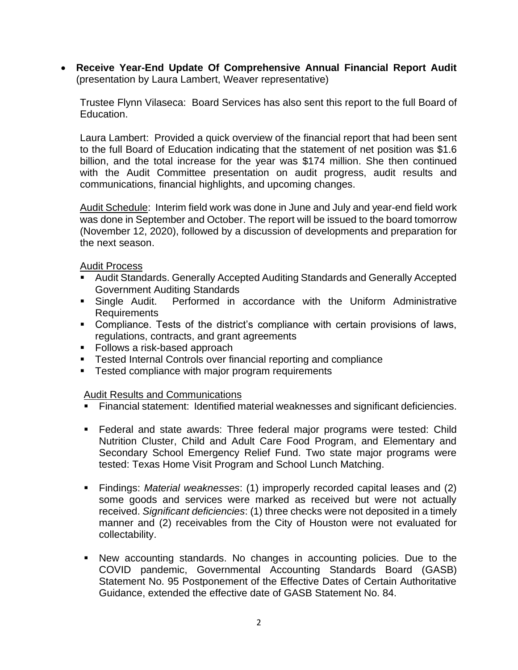• **Receive Year-End Update Of Comprehensive Annual Financial Report Audit** (presentation by Laura Lambert, Weaver representative)

Trustee Flynn Vilaseca: Board Services has also sent this report to the full Board of Education.

Laura Lambert: Provided a quick overview of the financial report that had been sent to the full Board of Education indicating that the statement of net position was \$1.6 billion, and the total increase for the year was \$174 million. She then continued with the Audit Committee presentation on audit progress, audit results and communications, financial highlights, and upcoming changes.

Audit Schedule: Interim field work was done in June and July and year-end field work was done in September and October. The report will be issued to the board tomorrow (November 12, 2020), followed by a discussion of developments and preparation for the next season.

Audit Process

- Audit Standards. Generally Accepted Auditing Standards and Generally Accepted Government Auditing Standards
- **EXT** Single Audit. Performed in accordance with the Uniform Administrative Requirements
- Compliance. Tests of the district's compliance with certain provisions of laws, regulations, contracts, and grant agreements
- Follows a risk-based approach
- Tested Internal Controls over financial reporting and compliance
- **EXECTE TESTED COMPLIANCE With major program requirements**

#### Audit Results and Communications

- Financial statement: Identified material weaknesses and significant deficiencies.
- **EXECTE 15 Federal and state awards: Three federal major programs were tested: Child** Nutrition Cluster, Child and Adult Care Food Program, and Elementary and Secondary School Emergency Relief Fund. Two state major programs were tested: Texas Home Visit Program and School Lunch Matching.
- Findings: *Material weaknesses*: (1) improperly recorded capital leases and (2) some goods and services were marked as received but were not actually received. *Significant deficiencies*: (1) three checks were not deposited in a timely manner and (2) receivables from the City of Houston were not evaluated for collectability.
- New accounting standards. No changes in accounting policies. Due to the COVID pandemic, Governmental Accounting Standards Board (GASB) Statement No. 95 Postponement of the Effective Dates of Certain Authoritative Guidance, extended the effective date of GASB Statement No. 84.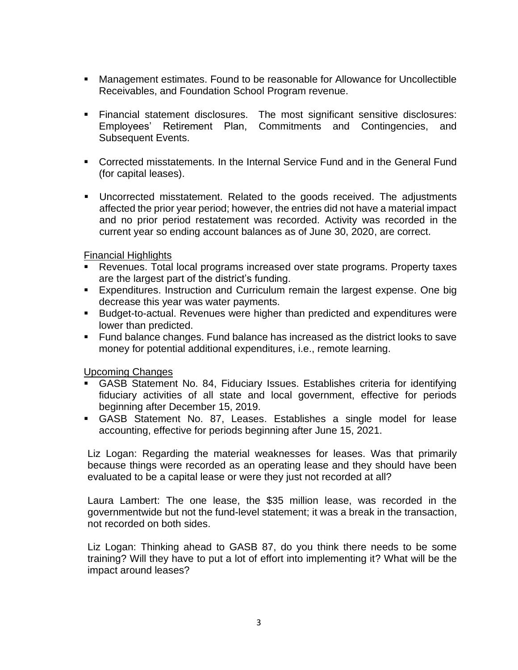- Management estimates. Found to be reasonable for Allowance for Uncollectible Receivables, and Foundation School Program revenue.
- Financial statement disclosures. The most significant sensitive disclosures: Employees' Retirement Plan, Commitments and Contingencies, and Subsequent Events.
- Corrected misstatements. In the Internal Service Fund and in the General Fund (for capital leases).
- Uncorrected misstatement. Related to the goods received. The adjustments affected the prior year period; however, the entries did not have a material impact and no prior period restatement was recorded. Activity was recorded in the current year so ending account balances as of June 30, 2020, are correct.

Financial Highlights

- Revenues. Total local programs increased over state programs. Property taxes are the largest part of the district's funding.
- Expenditures. Instruction and Curriculum remain the largest expense. One big decrease this year was water payments.
- Budget-to-actual. Revenues were higher than predicted and expenditures were lower than predicted.
- Fund balance changes. Fund balance has increased as the district looks to save money for potential additional expenditures, i.e., remote learning.

Upcoming Changes

- GASB Statement No. 84, Fiduciary Issues. Establishes criteria for identifying fiduciary activities of all state and local government, effective for periods beginning after December 15, 2019.
- GASB Statement No. 87, Leases. Establishes a single model for lease accounting, effective for periods beginning after June 15, 2021.

Liz Logan: Regarding the material weaknesses for leases. Was that primarily because things were recorded as an operating lease and they should have been evaluated to be a capital lease or were they just not recorded at all?

Laura Lambert: The one lease, the \$35 million lease, was recorded in the governmentwide but not the fund-level statement; it was a break in the transaction, not recorded on both sides.

Liz Logan: Thinking ahead to GASB 87, do you think there needs to be some training? Will they have to put a lot of effort into implementing it? What will be the impact around leases?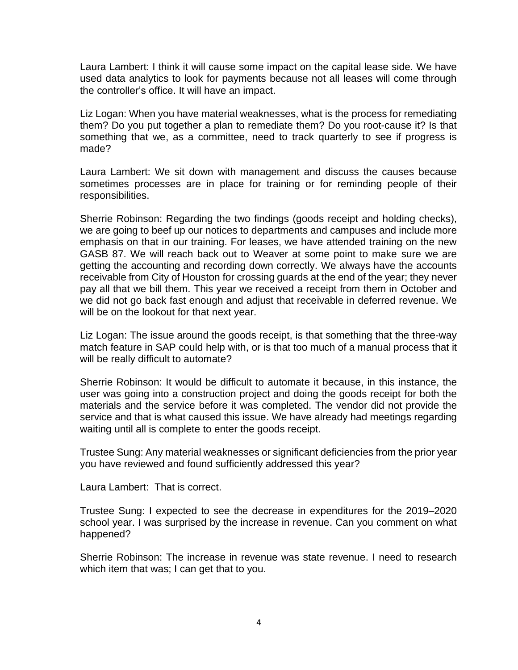Laura Lambert: I think it will cause some impact on the capital lease side. We have used data analytics to look for payments because not all leases will come through the controller's office. It will have an impact.

Liz Logan: When you have material weaknesses, what is the process for remediating them? Do you put together a plan to remediate them? Do you root-cause it? Is that something that we, as a committee, need to track quarterly to see if progress is made?

Laura Lambert: We sit down with management and discuss the causes because sometimes processes are in place for training or for reminding people of their responsibilities.

Sherrie Robinson: Regarding the two findings (goods receipt and holding checks), we are going to beef up our notices to departments and campuses and include more emphasis on that in our training. For leases, we have attended training on the new GASB 87. We will reach back out to Weaver at some point to make sure we are getting the accounting and recording down correctly. We always have the accounts receivable from City of Houston for crossing guards at the end of the year; they never pay all that we bill them. This year we received a receipt from them in October and we did not go back fast enough and adjust that receivable in deferred revenue. We will be on the lookout for that next year.

Liz Logan: The issue around the goods receipt, is that something that the three-way match feature in SAP could help with, or is that too much of a manual process that it will be really difficult to automate?

Sherrie Robinson: It would be difficult to automate it because, in this instance, the user was going into a construction project and doing the goods receipt for both the materials and the service before it was completed. The vendor did not provide the service and that is what caused this issue. We have already had meetings regarding waiting until all is complete to enter the goods receipt.

Trustee Sung: Any material weaknesses or significant deficiencies from the prior year you have reviewed and found sufficiently addressed this year?

Laura Lambert: That is correct.

Trustee Sung: I expected to see the decrease in expenditures for the 2019–2020 school year. I was surprised by the increase in revenue. Can you comment on what happened?

Sherrie Robinson: The increase in revenue was state revenue. I need to research which item that was; I can get that to you.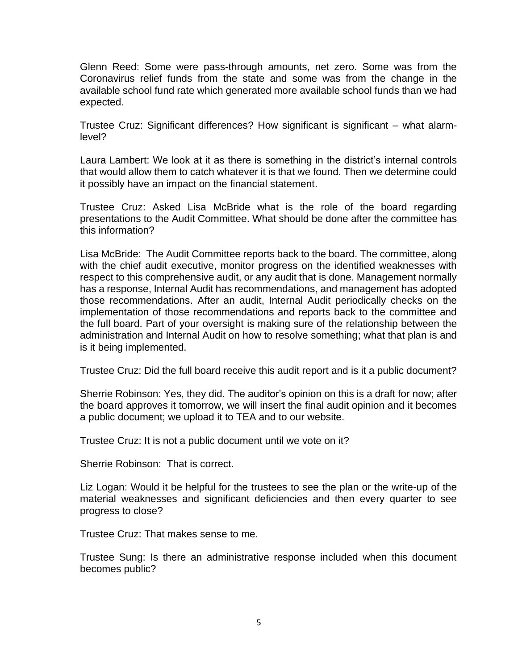Glenn Reed: Some were pass-through amounts, net zero. Some was from the Coronavirus relief funds from the state and some was from the change in the available school fund rate which generated more available school funds than we had expected.

Trustee Cruz: Significant differences? How significant is significant – what alarmlevel?

Laura Lambert: We look at it as there is something in the district's internal controls that would allow them to catch whatever it is that we found. Then we determine could it possibly have an impact on the financial statement.

Trustee Cruz: Asked Lisa McBride what is the role of the board regarding presentations to the Audit Committee. What should be done after the committee has this information?

Lisa McBride: The Audit Committee reports back to the board. The committee, along with the chief audit executive, monitor progress on the identified weaknesses with respect to this comprehensive audit, or any audit that is done. Management normally has a response, Internal Audit has recommendations, and management has adopted those recommendations. After an audit, Internal Audit periodically checks on the implementation of those recommendations and reports back to the committee and the full board. Part of your oversight is making sure of the relationship between the administration and Internal Audit on how to resolve something; what that plan is and is it being implemented.

Trustee Cruz: Did the full board receive this audit report and is it a public document?

Sherrie Robinson: Yes, they did. The auditor's opinion on this is a draft for now; after the board approves it tomorrow, we will insert the final audit opinion and it becomes a public document; we upload it to TEA and to our website.

Trustee Cruz: It is not a public document until we vote on it?

Sherrie Robinson: That is correct.

Liz Logan: Would it be helpful for the trustees to see the plan or the write-up of the material weaknesses and significant deficiencies and then every quarter to see progress to close?

Trustee Cruz: That makes sense to me.

Trustee Sung: Is there an administrative response included when this document becomes public?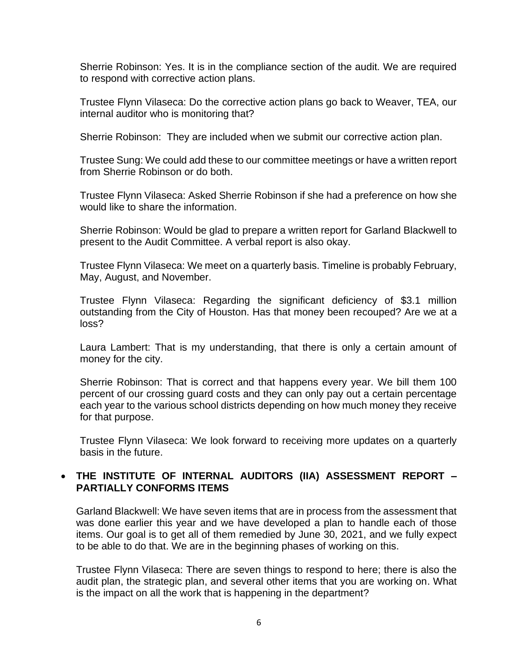Sherrie Robinson: Yes. It is in the compliance section of the audit. We are required to respond with corrective action plans.

Trustee Flynn Vilaseca: Do the corrective action plans go back to Weaver, TEA, our internal auditor who is monitoring that?

Sherrie Robinson: They are included when we submit our corrective action plan.

Trustee Sung: We could add these to our committee meetings or have a written report from Sherrie Robinson or do both.

Trustee Flynn Vilaseca: Asked Sherrie Robinson if she had a preference on how she would like to share the information.

Sherrie Robinson: Would be glad to prepare a written report for Garland Blackwell to present to the Audit Committee. A verbal report is also okay.

Trustee Flynn Vilaseca: We meet on a quarterly basis. Timeline is probably February, May, August, and November.

Trustee Flynn Vilaseca: Regarding the significant deficiency of \$3.1 million outstanding from the City of Houston. Has that money been recouped? Are we at a loss?

Laura Lambert: That is my understanding, that there is only a certain amount of money for the city.

Sherrie Robinson: That is correct and that happens every year. We bill them 100 percent of our crossing guard costs and they can only pay out a certain percentage each year to the various school districts depending on how much money they receive for that purpose.

Trustee Flynn Vilaseca: We look forward to receiving more updates on a quarterly basis in the future.

# • **THE INSTITUTE OF INTERNAL AUDITORS (IIA) ASSESSMENT REPORT – PARTIALLY CONFORMS ITEMS**

Garland Blackwell: We have seven items that are in process from the assessment that was done earlier this year and we have developed a plan to handle each of those items. Our goal is to get all of them remedied by June 30, 2021, and we fully expect to be able to do that. We are in the beginning phases of working on this.

Trustee Flynn Vilaseca: There are seven things to respond to here; there is also the audit plan, the strategic plan, and several other items that you are working on. What is the impact on all the work that is happening in the department?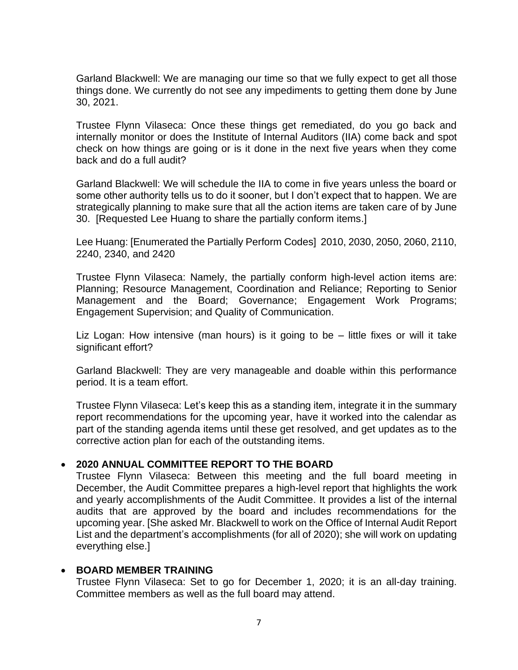Garland Blackwell: We are managing our time so that we fully expect to get all those things done. We currently do not see any impediments to getting them done by June 30, 2021.

Trustee Flynn Vilaseca: Once these things get remediated, do you go back and internally monitor or does the Institute of Internal Auditors (IIA) come back and spot check on how things are going or is it done in the next five years when they come back and do a full audit?

Garland Blackwell: We will schedule the IIA to come in five years unless the board or some other authority tells us to do it sooner, but I don't expect that to happen. We are strategically planning to make sure that all the action items are taken care of by June 30. [Requested Lee Huang to share the partially conform items.]

Lee Huang: [Enumerated the Partially Perform Codes] 2010, 2030, 2050, 2060, 2110, 2240, 2340, and 2420

Trustee Flynn Vilaseca: Namely, the partially conform high-level action items are: Planning; Resource Management, Coordination and Reliance; Reporting to Senior Management and the Board; Governance; Engagement Work Programs; Engagement Supervision; and Quality of Communication.

Liz Logan: How intensive (man hours) is it going to be – little fixes or will it take significant effort?

Garland Blackwell: They are very manageable and doable within this performance period. It is a team effort.

Trustee Flynn Vilaseca: Let's keep this as a standing item, integrate it in the summary report recommendations for the upcoming year, have it worked into the calendar as part of the standing agenda items until these get resolved, and get updates as to the corrective action plan for each of the outstanding items.

## • **2020 ANNUAL COMMITTEE REPORT TO THE BOARD**

Trustee Flynn Vilaseca: Between this meeting and the full board meeting in December, the Audit Committee prepares a high-level report that highlights the work and yearly accomplishments of the Audit Committee. It provides a list of the internal audits that are approved by the board and includes recommendations for the upcoming year. [She asked Mr. Blackwell to work on the Office of Internal Audit Report List and the department's accomplishments (for all of 2020); she will work on updating everything else.]

# • **BOARD MEMBER TRAINING**

Trustee Flynn Vilaseca: Set to go for December 1, 2020; it is an all-day training. Committee members as well as the full board may attend.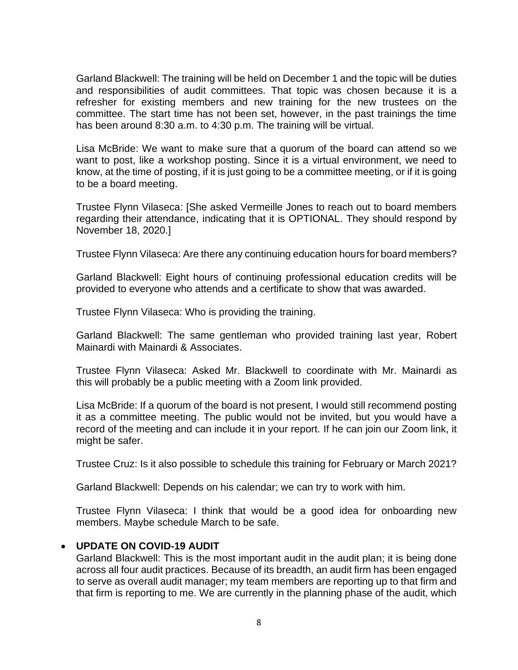Garland Blackwell: The training will be held on December 1 and the topic will be duties and responsibilities of audit committees. That topic was chosen because it is a refresher for existing members and new training for the new trustees on the committee. The start time has not been set, however, in the past trainings the time has been around 8:30 a.m. to 4:30 p.m. The training will be virtual.

Lisa McBride: We want to make sure that a quorum of the board can attend so we want to post, like a workshop posting. Since it is a virtual environment, we need to know, at the time of posting, if it is just going to be a committee meeting, or if it is going to be a board meeting.

Trustee Flynn Vilaseca: [She asked Vermeille Jones to reach out to board members regarding their attendance, indicating that it is OPTIONAL. They should respond by November 18, 2020.]

Trustee Flynn Vilaseca: Are there any continuing education hours for board members?

Garland Blackwell: Eight hours of continuing professional education credits will be provided to everyone who attends and a certificate to show that was awarded.

Trustee Flynn Vilaseca: Who is providing the training.

Garland Blackwell: The same gentleman who provided training last year, Robert Mainardi with Mainardi & Associates.

Trustee Flynn Vilaseca: Asked Mr. Blackwell to coordinate with Mr. Mainardi as this will probably be a public meeting with a Zoom link provided.

Lisa McBride: If a quorum of the board is not present, I would still recommend posting it as a committee meeting. The public would not be invited, but you would have a record of the meeting and can include it in your report. If he can join our Zoom link, it might be safer.

Trustee Cruz: Is it also possible to schedule this training for February or March 2021?

Garland Blackwell: Depends on his calendar; we can try to work with him.

Trustee Flynn Vilaseca: I think that would be a good idea for onboarding new members. Maybe schedule March to be safe.

## • **UPDATE ON COVID-19 AUDIT**

Garland Blackwell: This is the most important audit in the audit plan; it is being done across all four audit practices. Because of its breadth, an audit firm has been engaged to serve as overall audit manager; my team members are reporting up to that firm and that firm is reporting to me. We are currently in the planning phase of the audit, which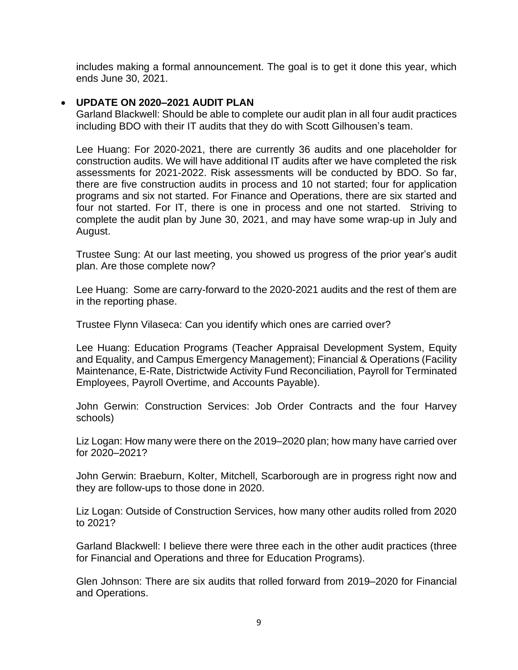includes making a formal announcement. The goal is to get it done this year, which ends June 30, 2021.

#### • **UPDATE ON 2020–2021 AUDIT PLAN**

Garland Blackwell: Should be able to complete our audit plan in all four audit practices including BDO with their IT audits that they do with Scott Gilhousen's team.

Lee Huang: For 2020-2021, there are currently 36 audits and one placeholder for construction audits. We will have additional IT audits after we have completed the risk assessments for 2021-2022. Risk assessments will be conducted by BDO. So far, there are five construction audits in process and 10 not started; four for application programs and six not started. For Finance and Operations, there are six started and four not started. For IT, there is one in process and one not started. Striving to complete the audit plan by June 30, 2021, and may have some wrap-up in July and August.

Trustee Sung: At our last meeting, you showed us progress of the prior year's audit plan. Are those complete now?

Lee Huang: Some are carry-forward to the 2020-2021 audits and the rest of them are in the reporting phase.

Trustee Flynn Vilaseca: Can you identify which ones are carried over?

Lee Huang: Education Programs (Teacher Appraisal Development System, Equity and Equality, and Campus Emergency Management); Financial & Operations (Facility Maintenance, E-Rate, Districtwide Activity Fund Reconciliation, Payroll for Terminated Employees, Payroll Overtime, and Accounts Payable).

John Gerwin: Construction Services: Job Order Contracts and the four Harvey schools)

Liz Logan: How many were there on the 2019–2020 plan; how many have carried over for 2020–2021?

John Gerwin: Braeburn, Kolter, Mitchell, Scarborough are in progress right now and they are follow-ups to those done in 2020.

Liz Logan: Outside of Construction Services, how many other audits rolled from 2020 to 2021?

Garland Blackwell: I believe there were three each in the other audit practices (three for Financial and Operations and three for Education Programs).

Glen Johnson: There are six audits that rolled forward from 2019–2020 for Financial and Operations.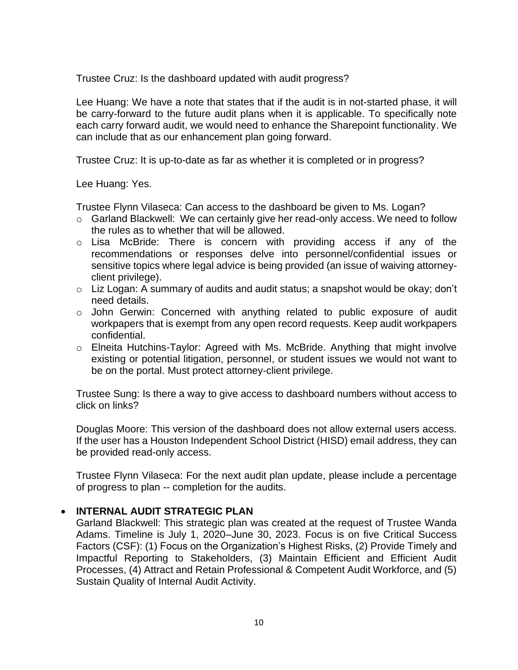Trustee Cruz: Is the dashboard updated with audit progress?

Lee Huang: We have a note that states that if the audit is in not-started phase, it will be carry-forward to the future audit plans when it is applicable. To specifically note each carry forward audit, we would need to enhance the Sharepoint functionality. We can include that as our enhancement plan going forward.

Trustee Cruz: It is up-to-date as far as whether it is completed or in progress?

Lee Huang: Yes.

Trustee Flynn Vilaseca: Can access to the dashboard be given to Ms. Logan?

- o Garland Blackwell: We can certainly give her read-only access. We need to follow the rules as to whether that will be allowed.
- o Lisa McBride: There is concern with providing access if any of the recommendations or responses delve into personnel/confidential issues or sensitive topics where legal advice is being provided (an issue of waiving attorneyclient privilege).
- o Liz Logan: A summary of audits and audit status; a snapshot would be okay; don't need details.
- o John Gerwin: Concerned with anything related to public exposure of audit workpapers that is exempt from any open record requests. Keep audit workpapers confidential.
- o Elneita Hutchins-Taylor: Agreed with Ms. McBride. Anything that might involve existing or potential litigation, personnel, or student issues we would not want to be on the portal. Must protect attorney-client privilege.

Trustee Sung: Is there a way to give access to dashboard numbers without access to click on links?

Douglas Moore: This version of the dashboard does not allow external users access. If the user has a Houston Independent School District (HISD) email address, they can be provided read-only access.

Trustee Flynn Vilaseca: For the next audit plan update, please include a percentage of progress to plan -- completion for the audits.

## • **INTERNAL AUDIT STRATEGIC PLAN**

Garland Blackwell: This strategic plan was created at the request of Trustee Wanda Adams. Timeline is July 1, 2020–June 30, 2023. Focus is on five Critical Success Factors (CSF): (1) Focus on the Organization's Highest Risks, (2) Provide Timely and Impactful Reporting to Stakeholders, (3) Maintain Efficient and Efficient Audit Processes, (4) Attract and Retain Professional & Competent Audit Workforce, and (5) Sustain Quality of Internal Audit Activity.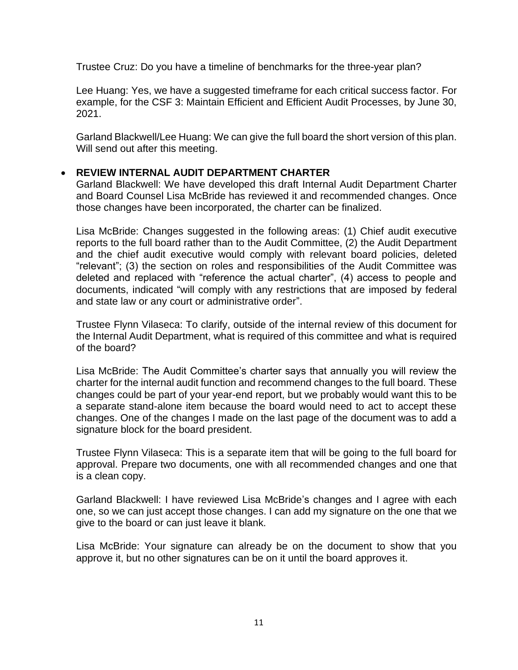Trustee Cruz: Do you have a timeline of benchmarks for the three-year plan?

Lee Huang: Yes, we have a suggested timeframe for each critical success factor. For example, for the CSF 3: Maintain Efficient and Efficient Audit Processes, by June 30, 2021.

Garland Blackwell/Lee Huang: We can give the full board the short version of this plan. Will send out after this meeting.

### • **REVIEW INTERNAL AUDIT DEPARTMENT CHARTER**

Garland Blackwell: We have developed this draft Internal Audit Department Charter and Board Counsel Lisa McBride has reviewed it and recommended changes. Once those changes have been incorporated, the charter can be finalized.

Lisa McBride: Changes suggested in the following areas: (1) Chief audit executive reports to the full board rather than to the Audit Committee, (2) the Audit Department and the chief audit executive would comply with relevant board policies, deleted "relevant"; (3) the section on roles and responsibilities of the Audit Committee was deleted and replaced with "reference the actual charter", (4) access to people and documents, indicated "will comply with any restrictions that are imposed by federal and state law or any court or administrative order".

Trustee Flynn Vilaseca: To clarify, outside of the internal review of this document for the Internal Audit Department, what is required of this committee and what is required of the board?

Lisa McBride: The Audit Committee's charter says that annually you will review the charter for the internal audit function and recommend changes to the full board. These changes could be part of your year-end report, but we probably would want this to be a separate stand-alone item because the board would need to act to accept these changes. One of the changes I made on the last page of the document was to add a signature block for the board president.

Trustee Flynn Vilaseca: This is a separate item that will be going to the full board for approval. Prepare two documents, one with all recommended changes and one that is a clean copy.

Garland Blackwell: I have reviewed Lisa McBride's changes and I agree with each one, so we can just accept those changes. I can add my signature on the one that we give to the board or can just leave it blank.

Lisa McBride: Your signature can already be on the document to show that you approve it, but no other signatures can be on it until the board approves it.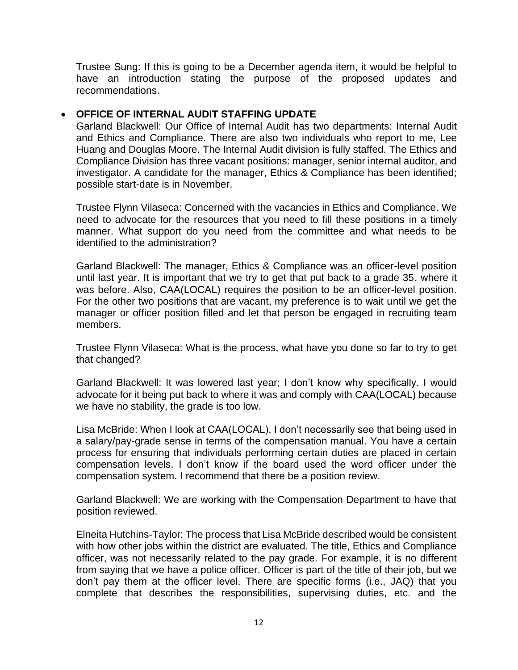Trustee Sung: If this is going to be a December agenda item, it would be helpful to have an introduction stating the purpose of the proposed updates and recommendations.

## • **OFFICE OF INTERNAL AUDIT STAFFING UPDATE**

Garland Blackwell: Our Office of Internal Audit has two departments: Internal Audit and Ethics and Compliance. There are also two individuals who report to me, Lee Huang and Douglas Moore. The Internal Audit division is fully staffed. The Ethics and Compliance Division has three vacant positions: manager, senior internal auditor, and investigator. A candidate for the manager, Ethics & Compliance has been identified; possible start-date is in November.

Trustee Flynn Vilaseca: Concerned with the vacancies in Ethics and Compliance. We need to advocate for the resources that you need to fill these positions in a timely manner. What support do you need from the committee and what needs to be identified to the administration?

Garland Blackwell: The manager, Ethics & Compliance was an officer-level position until last year. It is important that we try to get that put back to a grade 35, where it was before. Also, CAA(LOCAL) requires the position to be an officer-level position. For the other two positions that are vacant, my preference is to wait until we get the manager or officer position filled and let that person be engaged in recruiting team members.

Trustee Flynn Vilaseca: What is the process, what have you done so far to try to get that changed?

Garland Blackwell: It was lowered last year; I don't know why specifically. I would advocate for it being put back to where it was and comply with CAA(LOCAL) because we have no stability, the grade is too low.

Lisa McBride: When I look at CAA(LOCAL), I don't necessarily see that being used in a salary/pay-grade sense in terms of the compensation manual. You have a certain process for ensuring that individuals performing certain duties are placed in certain compensation levels. I don't know if the board used the word officer under the compensation system. I recommend that there be a position review.

Garland Blackwell: We are working with the Compensation Department to have that position reviewed.

Elneita Hutchins-Taylor: The process that Lisa McBride described would be consistent with how other jobs within the district are evaluated. The title, Ethics and Compliance officer, was not necessarily related to the pay grade. For example, it is no different from saying that we have a police officer. Officer is part of the title of their job, but we don't pay them at the officer level. There are specific forms (i.e., JAQ) that you complete that describes the responsibilities, supervising duties, etc. and the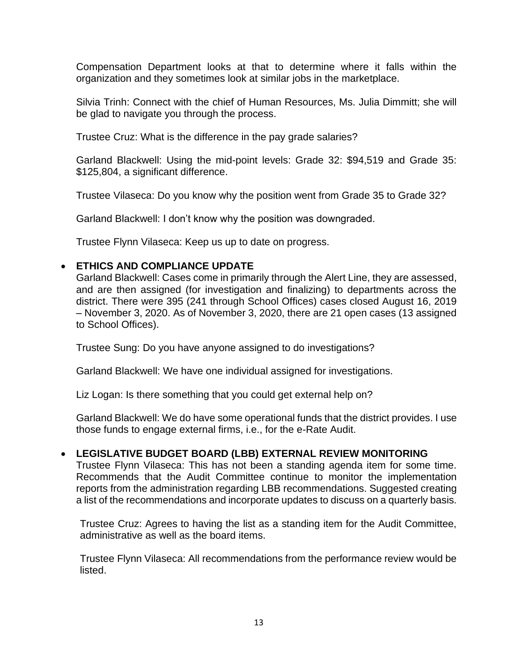Compensation Department looks at that to determine where it falls within the organization and they sometimes look at similar jobs in the marketplace.

Silvia Trinh: Connect with the chief of Human Resources, Ms. Julia Dimmitt; she will be glad to navigate you through the process.

Trustee Cruz: What is the difference in the pay grade salaries?

Garland Blackwell: Using the mid-point levels: Grade 32: \$94,519 and Grade 35: \$125,804, a significant difference.

Trustee Vilaseca: Do you know why the position went from Grade 35 to Grade 32?

Garland Blackwell: I don't know why the position was downgraded.

Trustee Flynn Vilaseca: Keep us up to date on progress.

#### • **ETHICS AND COMPLIANCE UPDATE**

Garland Blackwell: Cases come in primarily through the Alert Line, they are assessed, and are then assigned (for investigation and finalizing) to departments across the district. There were 395 (241 through School Offices) cases closed August 16, 2019 – November 3, 2020. As of November 3, 2020, there are 21 open cases (13 assigned to School Offices).

Trustee Sung: Do you have anyone assigned to do investigations?

Garland Blackwell: We have one individual assigned for investigations.

Liz Logan: Is there something that you could get external help on?

Garland Blackwell: We do have some operational funds that the district provides. I use those funds to engage external firms, i.e., for the e-Rate Audit.

## • **LEGISLATIVE BUDGET BOARD (LBB) EXTERNAL REVIEW MONITORING**

Trustee Flynn Vilaseca: This has not been a standing agenda item for some time. Recommends that the Audit Committee continue to monitor the implementation reports from the administration regarding LBB recommendations. Suggested creating a list of the recommendations and incorporate updates to discuss on a quarterly basis.

Trustee Cruz: Agrees to having the list as a standing item for the Audit Committee, administrative as well as the board items.

Trustee Flynn Vilaseca: All recommendations from the performance review would be listed.